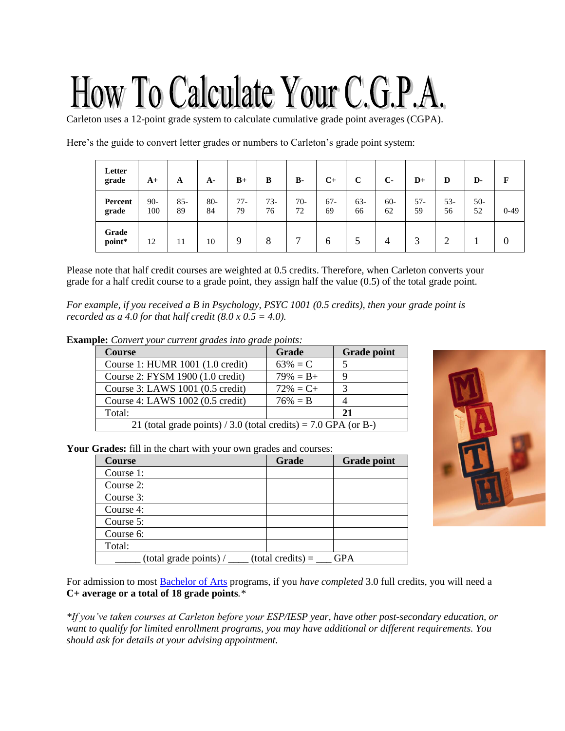# How To Calculate Your C.G.P.A

Carleton uses a 12-point grade system to calculate cumulative grade point averages (CGPA).

Here's the guide to convert letter grades or numbers to Carleton's grade point system:

| Letter<br>grade  | $A+$         | A            | $A -$        | $B+$        | B           | <b>B-</b>   | $C+$         | C           | $C-$         | $D+$      | D           | D-          | F           |
|------------------|--------------|--------------|--------------|-------------|-------------|-------------|--------------|-------------|--------------|-----------|-------------|-------------|-------------|
| Percent<br>grade | $90-$<br>100 | $85 -$<br>89 | $80 -$<br>84 | $77-$<br>79 | $73-$<br>76 | $70-$<br>72 | $67 -$<br>69 | $63-$<br>66 | $60 -$<br>62 | 57-<br>59 | $53-$<br>56 | $50-$<br>52 | $0-49$      |
| Grade<br>point*  | 12           | 11           | 10           | 9           | 8           | −           | O            |             |              |           |             |             | $\mathbf 0$ |

Please note that half credit courses are weighted at 0.5 credits. Therefore, when Carleton converts your grade for a half credit course to a grade point, they assign half the value (0.5) of the total grade point.

*For example, if you received a B in Psychology, PSYC 1001 (0.5 credits), then your grade point is recorded as a 4.0 for that half credit (8.0*  $x$  *0.5 = 4.0).* 

**Example:** *Convert your current grades into grade points:*

| $\sim$ convert four can entry called the $\zeta$ and $\zeta$<br><b>Course</b> | Grade        | <b>Grade point</b> |  |  |
|-------------------------------------------------------------------------------|--------------|--------------------|--|--|
|                                                                               |              |                    |  |  |
| Course 1: HUMR 1001 (1.0 credit)                                              | $63\% = C$   |                    |  |  |
| Course 2: FYSM 1900 (1.0 credit)                                              | $79\% = B +$ | 9                  |  |  |
| Course 3: LAWS 1001 (0.5 credit)                                              | $72\% = C +$ | 3                  |  |  |
| Course 4: LAWS 1002 (0.5 credit)                                              | $76\% = B$   | 4                  |  |  |
| Total:                                                                        |              | 21                 |  |  |
| 21 (total grade points) / 3.0 (total credits) = 7.0 GPA (or B-)               |              |                    |  |  |

**Your Grades:** fill in the chart with your own grades and courses:

| <b>Course</b>          | Grade               | <b>Grade point</b> |
|------------------------|---------------------|--------------------|
| Course 1:              |                     |                    |
| Course 2:              |                     |                    |
| Course 3:              |                     |                    |
| Course 4:              |                     |                    |
| Course 5:              |                     |                    |
| Course 6:              |                     |                    |
| Total:                 |                     |                    |
| (total grade points) / | $(total credits) =$ | <b>GPA</b>         |



For admission to most [Bachelor of Arts](https://admissions.carleton.ca/programs/arts/) programs, if you *have completed* 3.0 full credits, you will need a **C+ average or a total of 18 grade points***.\**

*\*If you've taken courses at Carleton before your ESP/IESP year, have other post-secondary education, or want to qualify for limited enrollment programs, you may have additional or different requirements. You should ask for details at your advising appointment.*